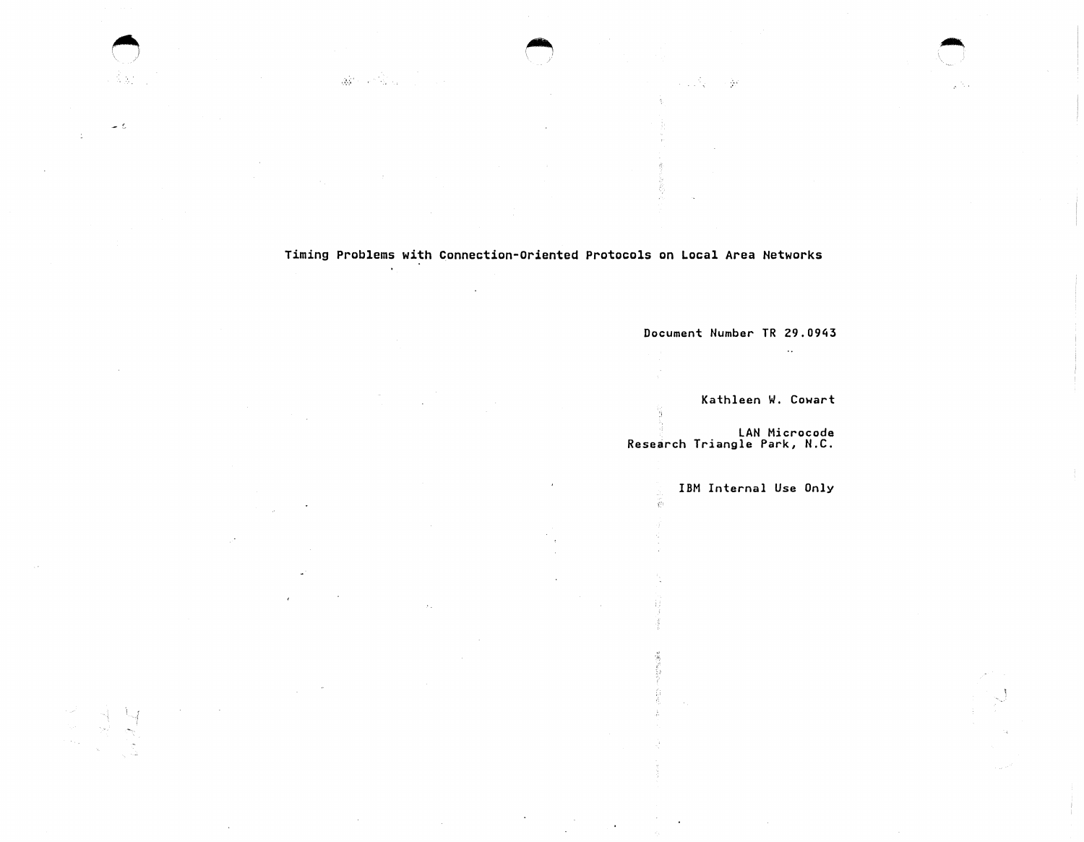Timing Problems with Connection-Oriented Protocols on Local Area Networks

 $\sim$ 

 $\cdot$ 

 $\Box$ 

A BO

 $\sim$  6

Document Number TR 29.0943

a sa Sa

 $\sim 10$ 

Kathleen W. Cowart

 $\sim$   $\sim$ 

LAN Microcode Research Triangle Park, N.C.

立台

્રમ્ય ( સ્ટેર

IBM Internal Use Only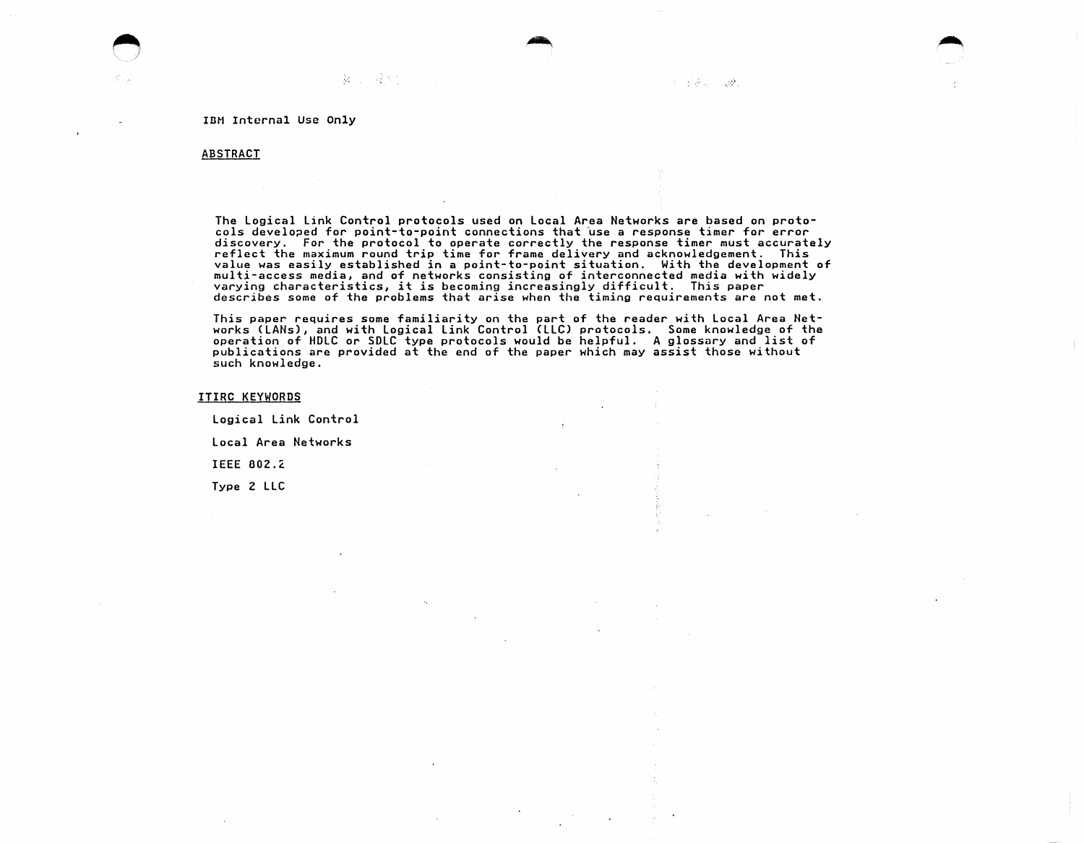第二 三个人

# ABSTRACT

The Logical Link Control protocols used on Local Area Networks are based on protodiscovery. For the protocol to operate correctly the response timer must accurately reflect the maximum round trip time for frame delivery and acknowledgement. This value was easily established in a point-to-point situation. With the development of multi-access media, and of networks consisting of interconnected media with widely varying characteristics, it is becoming increasingly difficult. This paper describes some of the problems that arise when the timing requirements are not met.

This paper requires some familiarity on the part of the reader with Local Area Networks CLANs), and with Logical Link Control CLLC) protocols. Some knowledge of the operation of HDLC or SDLC type protocols would be helpful. A glossary and list of publications are provided at the end of the paper which may assist those without such knowledge.

ITIRC KEYWORDS

Logical Link Control Local Area Networks

IEEE 802.l.

Type 2 LLC

.·~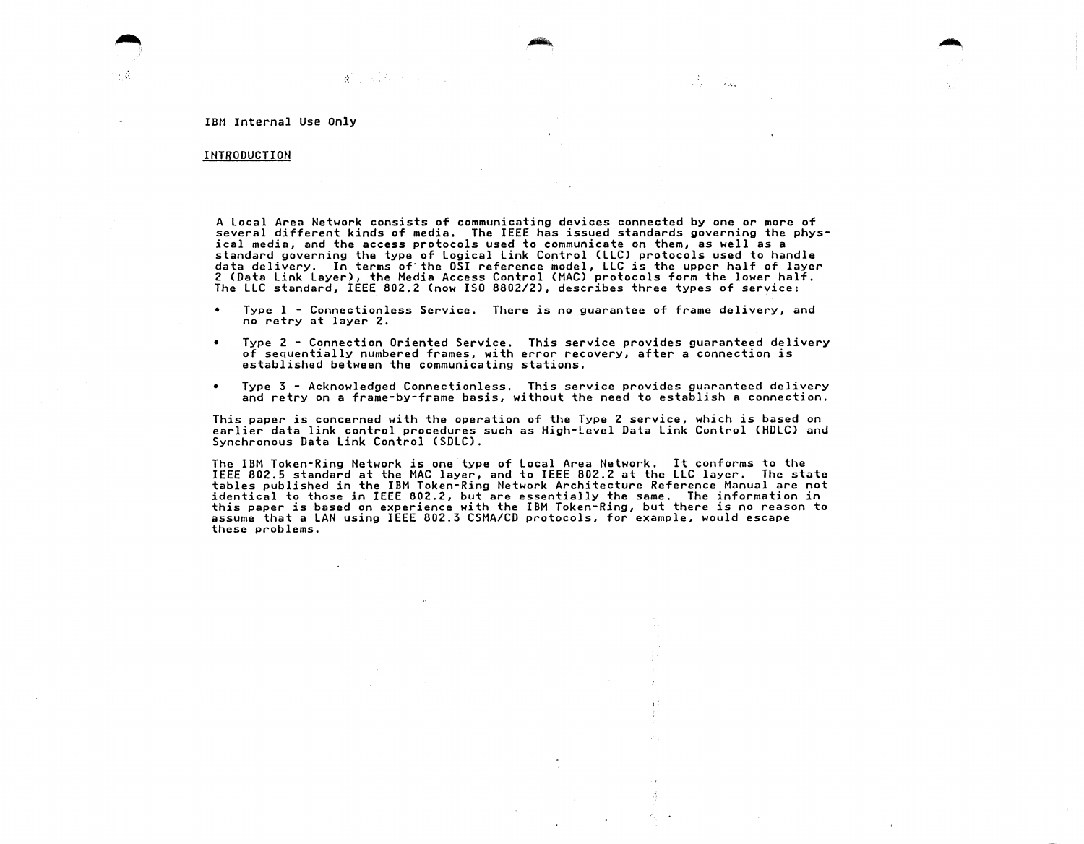## IDH Internal Use only

 $\mathcal{R}^{\mathcal{L}}$  and  $\mathcal{L}^{\mathcal{L}}$  and  $\mathcal{L}^{\mathcal{L}}$  and  $\mathcal{L}^{\mathcal{L}}$ 

## INTRODUCTION

A local Area Network consists of communicating devices connected by one or more of several different kinds of media, The IEEE has issued standards governing the physical media, and the access protocols used to communicate on them, as well as a<br>standard governing the type of Logical Link Control (LLC) protocols used to handle data delivery. In terms of' the OSI reference model, LLC is the upper half of layer 2 CData link layer), the Media Access Control CMAC) protocols form the lower half. The LLC standard, IEEE 802.2 (now ISO 8802/2), describes three types of service:

in Ale

- Type 1 Connectionless Service. There is no guarantee of frame delivery, and no retry at layer 2.
- Type 2 Connection Oriented Service. This service provides guaranteed delivery of sequentially numbered frames, with error recovery, after a connection is established between the communicating stations.
- $\bullet$ Type 3 - Acknowledged Connectionless. This service provides guaranteed delivery and retry on a frame-by-frame basis, without the need to establish a connection.

This paper is concerned with the operation of the Type 2 service, which is based on<br>earlier data link control procedures such as High-Level Data Link Control (HDLC) and Synchronous Data link Control CSDLC).

The IBM Token-Ring Network is one type of local Area Network. It conforms to the IEEE 802.5 standard at the MAC layer, and to IEEE 802.2 at the LLC layer. The state tables published in the IBM Token-Ring Network Architecture Reference Manual are not identical to those in IEEE 802.2, but are essentially the same. The information in this paper is based on experience with the IBM Token-Ring, but there is no reason to assume that a LAN using IEEE 802.3 CSMA/CD protocols, for example, would escape these problems.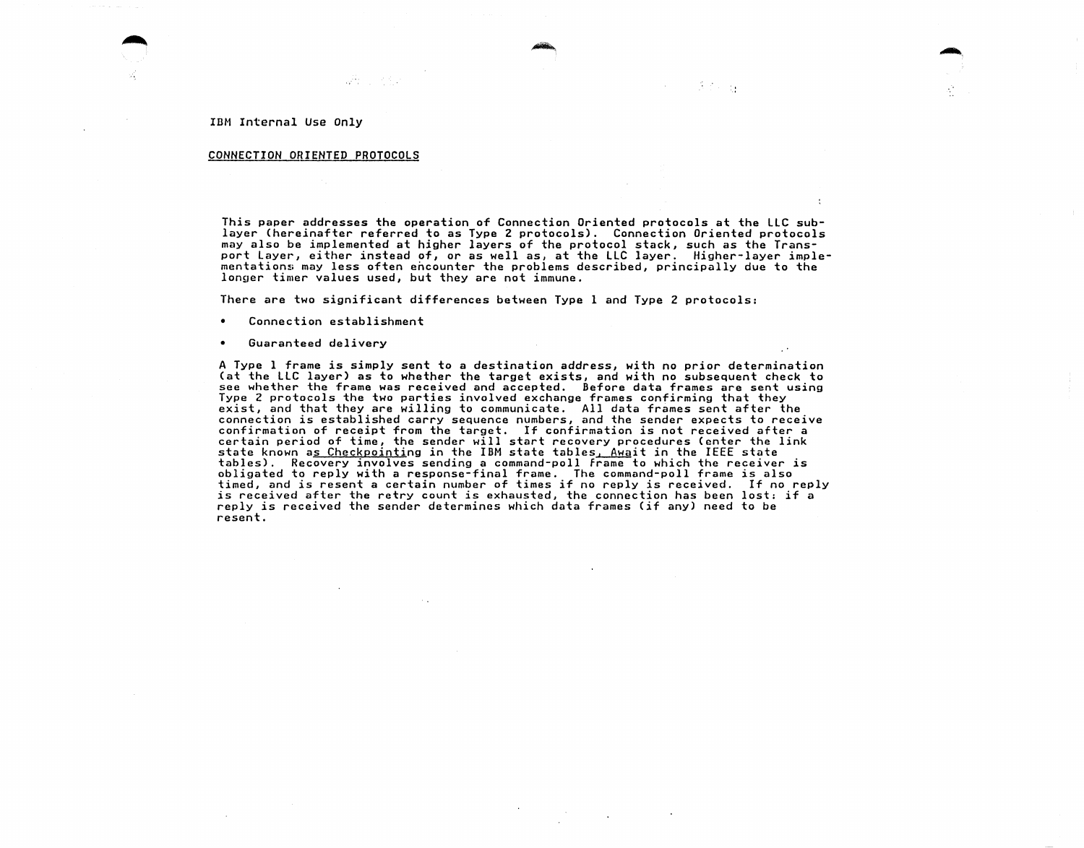#### CONNECTION ORIENTED PROTOCOLS

With Co

This paper addresses the operation of Connection Oriented protocols at the LLC sublayer (hereinafter referred to as Type 2 protocols). Connection Oriented protocols may also be implemented at higher layers of the protocol stack, such as the Transport Layer, either instead of, or as well as, at the LLC layer. Higher-layer implementations may less often encounter the problems described, principally due to the longer timer values used, but they are not immune.

 $\mathcal{F}(\mathcal{E}) = \mathcal{E}(\mathcal{E})$ 

There are two significant differences between Type 1 and Type 2 protocols:

- Connection establishment
- Guaranteed delivery

A Type 1 frame is simply sent to a destination address, with no prior determination see whether the frame was received and accepted. Before data frames are sent using Type 2 protocols the two parties involved exchange frames confirming that they exist, and that they are willing to communicate. All data frames sent after the connection is established carry sequence numbers, and the sender expects to receive confirmation of receipt from the target. If confirmation is not received after a certain period of time, the sender will start recovery procedures (enter the link state known a<u>s Checkpointi</u>ng in the IBM state tables,  $A_{\text{Maj}}$  in the IEEE state tables). Recovery involves sending a command-poll frame to which the receiver is obligated to reply with a response-final frame. The command-poll frame is also timed, and is resent a certain number of times if no reply is received. If no reply is received after the retry count is exhausted, the connection has been lost: if a<br>reply is received the sender determines which data frames (if any) need to be resent.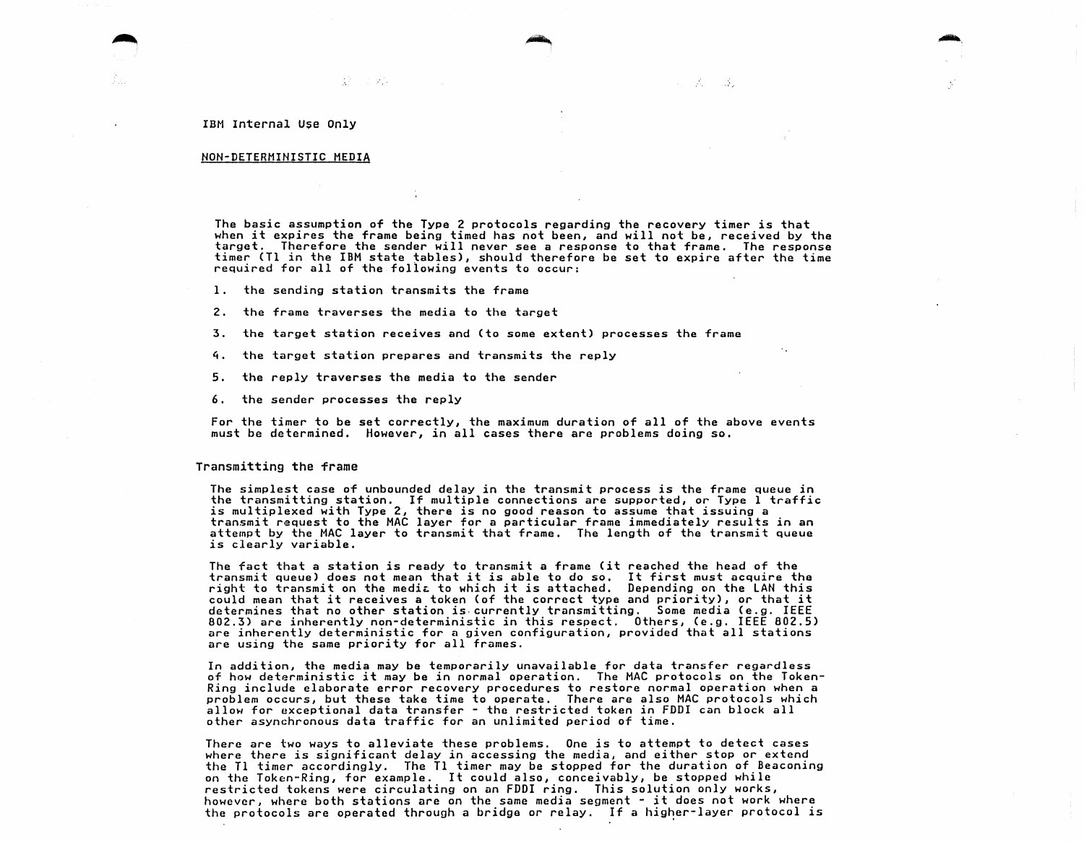#### NON-DETERMINISTIC MEDIA

The basic assumption of the Type 2 protocols regarding the recovery timer is that when it expires the frame being timed has not been, and will not be, received by the target. Therefore the sender will never see a response to that frame. The response timer CTl in the IBM state tables), should therefore be set to expire after the time required for all of the following events to occur:

 $\mathcal{L}^{\text{max}}_{\text{max}}$  , where  $\mathcal{L}^{\text{max}}_{\text{max}}$ 

Шĥ.

1. the sending station transmits the frame

-195

2. the frame traverses the media to the target

3. the target station receives and (to some extent) processes the frame

4. the target station prepares and transmits the reply

5. the reply traverses the media to the sender

6. the sender processes the reply

For the timer to be set correctly, the maximum duration of all of the above events must be determined. However, in all cases there are problems doing so.

### Transmitting the frame

The simplest case of unbounded delay in the transmit process is the frame queue in the transmitting station. If multiple connections are supported, or Type 1 traffic<br>is multiplexed with Type 2, there is no good reason to assume that issuing a transmit request to the MAC layer for a particular frame immediately results in an<br>attempt by the MAC layer to transmit that frame. The length of the transmit queue is clearly variable.

The fact that a station is ready to transmit a frame Cit reached the head of the The fact that a station is ready to transmit a frame (it reached the head of the<br>transmit queue) does not mean that it is able to do so. It first must acquire the transmit queue) does not mean that it is able to do so. It first must acquire the<br>right to transmit on the media to which it is attached. Depending on the LAN this could mean that it receives a token (of the correct type and priority), or that it determines that no other station is.currently transmitting. Some media (e.g. IEEE 802.3) are inherently non-deterministic in this respect. Others, (e.g. IEEE 802.5) are inherently deterministic for a given configuration, provided that all stations are using the same priority for all frames.

In addition, the media may be temporarily unavailable for data transfer regardless of how deterministic it may be in normal operation. The MAC protocols on the Tokenproblem occurs, but these take time to operate. There are also MAC protocols which allow for exceptional data transfer - the restricted token in FDDI can block all other asynchronous data traffic for an unlimited period of time.

There are two ways to alleviate these problems. One is to attempt to detect cases<br>where there is significant delay in accessing the media, and either stop or extend the Tl timer accordingly. The Tl timer may be stopped for the duration of Beaconing<br>on the Token-Ring, for example. It could also, conceivably, be stopped while restricted tokens were circulating on an FDDI ring. This solution only works, however, where both stations are on the same media segment - it does not work where the protocols are operated through a bridge or relay. If a higher-layer protocol is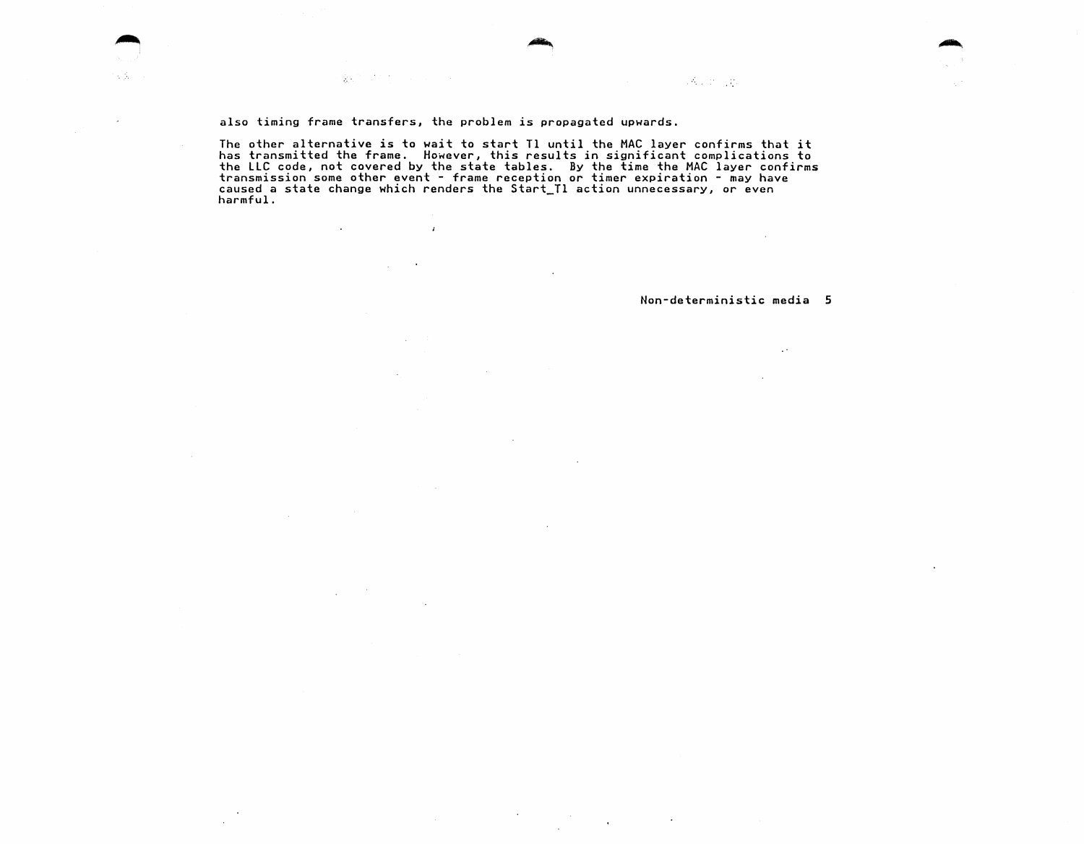also timing frame transfers, the problem is propagated upwards.

 $\mathbf{r}$ 

 $\sim 10^{-1}$ 

数据设计设计

 $\sim$ 

 $\sim$ 

 $\lesssim 10^7$ 

The other alternative is to wait to start Tl until the MAC layer confirms that it has transmitted the frame. However, this results in significant complications to the LLC code, not covered by the state tables. By the time the MAC layer confirms<br>transmission some other event - frame reception or timer expiration - may have<br>caused a state change which renders the Start\_Tl action unnec

 $\sim$ 

 $\mathcal{A}$ 

 $\hat{\mathbf{r}}$ 

 $\sim$ 

Non-deterministic media 5

 $\sim$ 

 $\bullet$ 

 $1.5\%$  ,  $22\%$  ,  $22\%$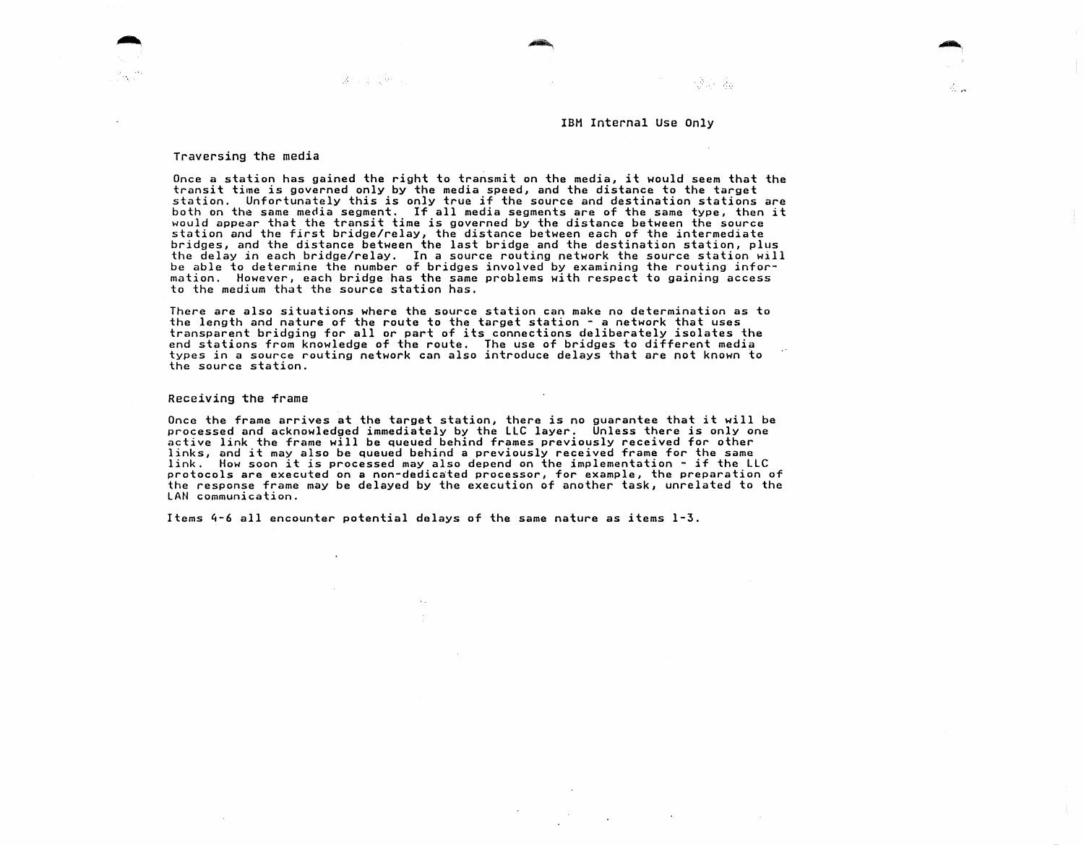ndrin da

#### Traversing the media

法行政 医新生

Once a station has gained the right to transmit on the media, it would seem that the transit tiine is governed only by the media speed, and the distance to the target station. Unfortunately this is only true if the source and destination stations are both on the same media segment. If all media segments are of the same type, then it would appear that the transit time is governed by the station and the first bridge/relay, the distance between each of the intermediate bridges, and the distance between the last bridge and the destination station, plus the delay in each bridge/relay. In a source routing network the source station will be able to determine the number of bridges involved by examining the routing information. However, each bridge has the same problems with respect to gaining access to the medium that the source station has.

There are also situations where the source station can make no determination as to the length and nature of the route to the target station  $\sim$  a network that uses transparent bridging for all or part of its connections deliberately isolates the end stations from knowledge of the route. The use of bridges to different media types in a source routing network can also introduce delays that are not known to the source station.

#### Receiving the frame

Once the frame arrives at the target station, there is no guarantee that it will be processed and acknowledged immediately by the LLC layer. Unless there is only one active link the frame will be queued behind frames previously received for other links, and it may also be queued behind a previously received frame for the same link. How soon it is processed may also depend on the implementation - if the LLC protocols are executed on a non-dedicated processor, for example, the preparation of the response frame may be delayed by the execution of another task, unrelated to the LAN communication.

Items 4-6 all encounter potential delays of the same nature as items 1-3.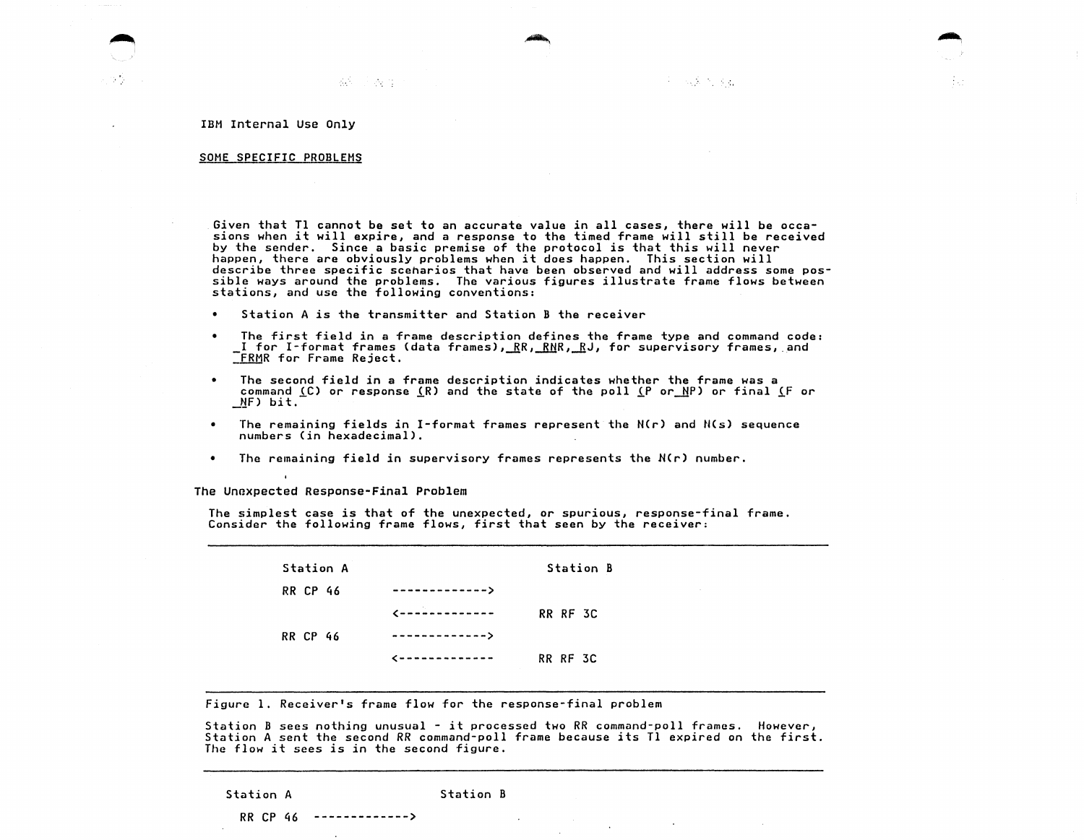医心胸麻醉 医乳

 $\sim$ 

IBM Internal use Only

#### SOME SPECIFIC PROBLEMS

Given that Tl cannot be set to an accurate value in all cases, there will be occa-<br>sions when it will expire, and a response to the timed frame will still be received<br>by the sender. Since a basic premise of the protocol is happen, there are obviously problems when it does happen. This section will describe three specific scenarios that have been observed and will address some possible ways around the problems. The various figures illustrate frame flows between stations, and use the following conventions:

- Station A is the transmitter and Station B the receiver
- The first field in a frame description defines the frame type and command code:  $I$  for  $I$ -format frames (data frames), $\frac{RR}{LR}$ ,  $\frac{RR}{LR}$ ,  $\frac{R}{2}$ , for supervisory frames, and TRMR for Frame Reject.
- The second field in a frame description indicates whether the frame was a<br>command <u>(</u>C) or response <u>(</u>R) and the state of the poll <u>(</u>P or\_NP) or final <u>(</u>F or<br>\_NF) bit.
- The remaining fields in I-format frames represent the N(r) and N(s) sequence numbers (in hexadecimal).  $\bullet$
- The remaining field in supervisory frames represents the N(r) number.

The Unexpected Response-Final Problem

The simplest case is that of the unexpected, or spurious, response-final frame. Consider the following frame flows, first that seen by the receiver:

| Station A       |                           | <b>Station B</b> |
|-----------------|---------------------------|------------------|
| <b>RR CP 46</b> | ------------->            |                  |
|                 | $\epsilon$ -------------- | RR RF 3C         |
| <b>RR CP 46</b> | ------------->            |                  |
|                 | --------------            | RR RF 3C         |

Figure 1. Receiver's frame flow for the response-final problem

Station B sees nothing unusual - it processed two RR command-poll frames. However, Station A sent the second *RR* command-poll frame because its Tl expired on the first. The flow it sees is in the second figure.

Station A Station B

RR CP 46 ------------->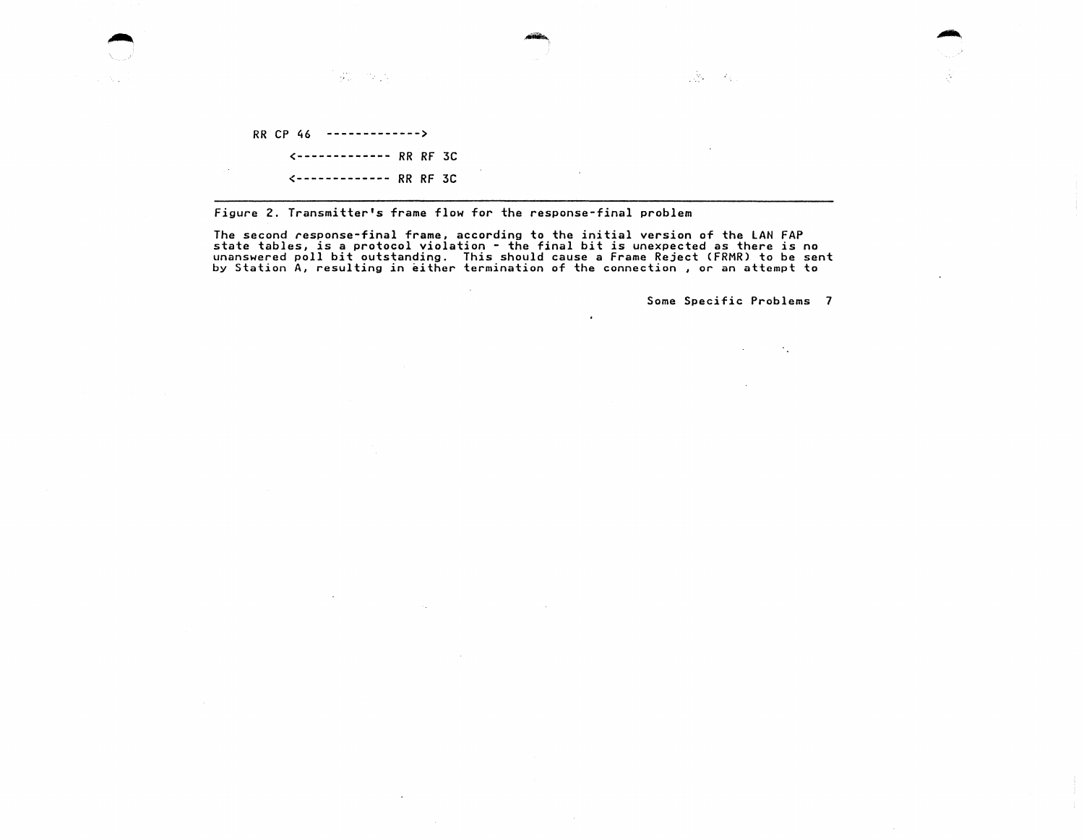RR CP 46 ------------->

<------------- RR RF 3C <------------- RR RF 3C

 $\mathcal{G}^{(0)}_{\text{int}}$  , where  $\mathcal{G}^{(0)}_{\text{int}}$ 

Figure 2. Transmitter's frame flow for the response-final problem

 $\sim$ 

The second response-final frame, according to the initial version of the LAN FAP rie second response rinal riem, according to the initial bit is unexpected as there is no<br>unanswered poll bit outstanding. This should cause a Frame Reject (FRMR) to be sent<br>by Station A, resulting in either termination of

Some Specific Problems 7

 $\mathcal{F}_{\mathcal{A}}$ 

 $\sqrt{2}$  ,  $\sqrt{2}$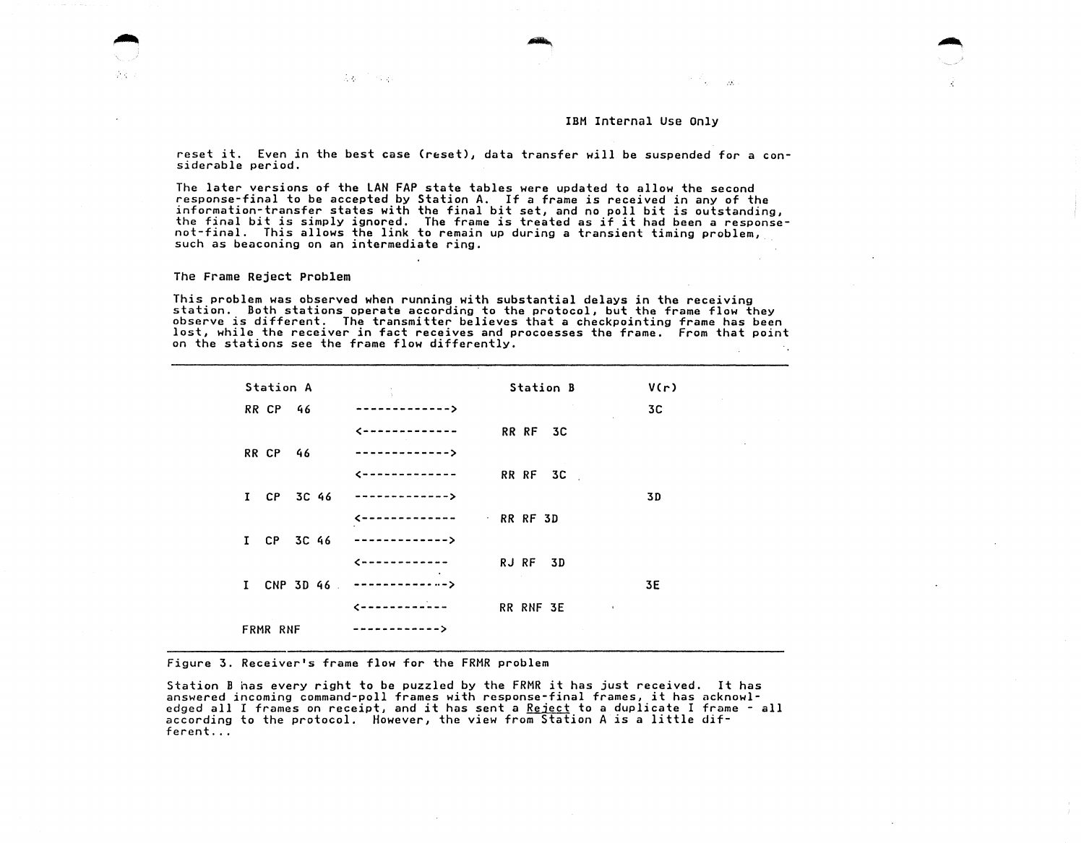.....

reset it. Even in the best case (reset), data transfer will be suspended for a considerable period.

The later versions of the LAN FAP state tables were updated to allow the second response-final to be accepted by Station A. If a frame is received in any of the<br>information-transfer states with the final bit set, and no poll bit is outstanding, the final bit is simply ignored. The frame is treated as if it had been a response-<br>not-final. This allows the link to remain up during a transient timing problem,<br>such as beaconing on an intermediate ring.

The Frame Reject Problem

This problem was observed when running with substantial delays in the receiving<br>station. Both stations operate according to the protocol, but the frame flow they<br>observe is different. The transmitter believes that a checkp lost, while the receiver in fact receives and procoesses the frame. From that point on the stations see the frame flow differently.

| Station A       | $\mathcal{L} = \frac{1}{2} \sum_{i=1}^n \mathcal{L}_i$ | Station B               | V(r) |
|-----------------|--------------------------------------------------------|-------------------------|------|
| <b>RR CP 46</b> | ------------->                                         |                         | 3C   |
|                 | --------------                                         | RR RF 3C                |      |
| <b>RR CP 46</b> | ------------->                                         |                         |      |
|                 | <-------------                                         | RR RF 3C                |      |
|                 | I CP 3C 46 -------------->                             |                         | 3D   |
|                 | <-------------                                         | RR RF 3D                |      |
| I CP 3C 46      | -------------->                                        |                         |      |
|                 | -------------                                          | RJ RF 3D                |      |
|                 | I CNP 3D 46 $---------$                                |                         | 3E   |
|                 | $\epsilon$ - - - - - - - - - - - - -                   | RR RNF 3E<br>$\sim 100$ |      |
| FRMR RNF        | ------------>                                          |                         |      |

Figure 3. Receiver's frame flow for the FRMR problem

 $\label{eq:2.1} \mathcal{L}_{\mathcal{F}}(t) = \mathcal{L}_{\mathcal{F}}(t) + \mathcal{L}_{\mathcal{F}}(t)$ 

Station B has every right to be puzzled by the FRMR it has just received. It has answered incoming command-poll frames with response-final frames, it has acknowledged all I frames on receipt, and it has sent a Reject to a duplicate I frame - all according to the protocol. However, the view from Station A is a little different...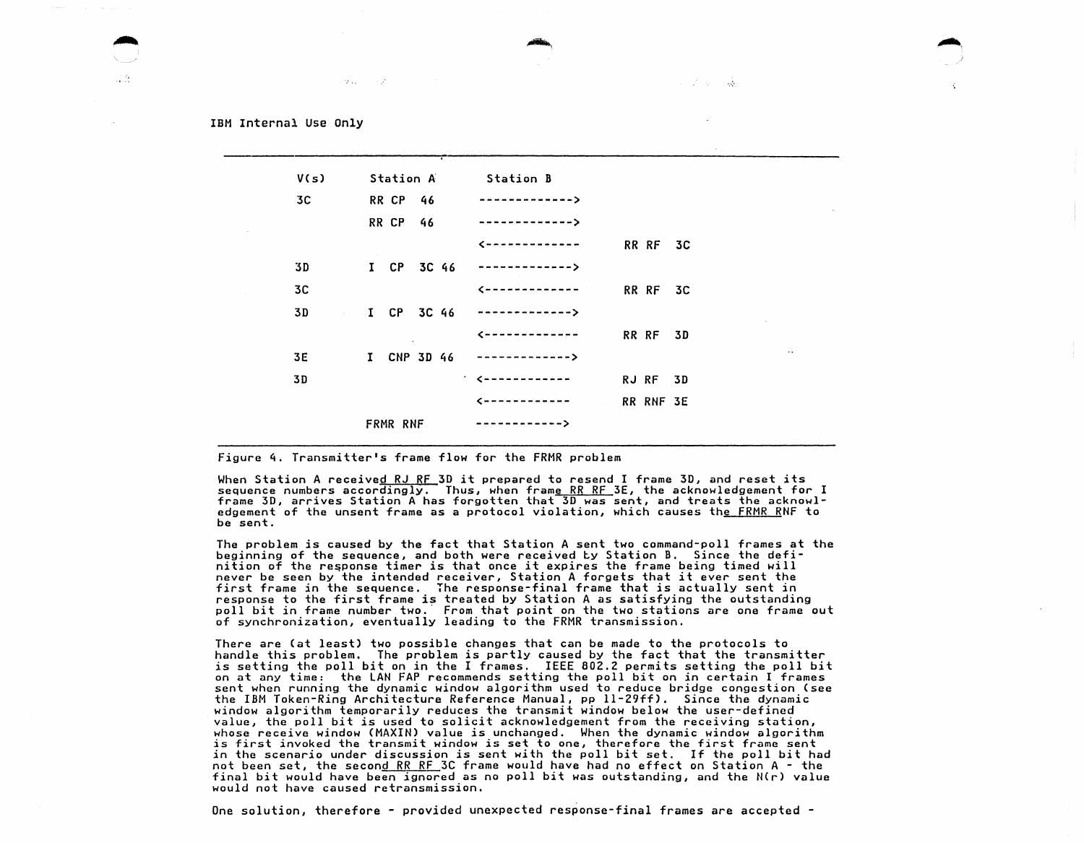or Lu

| V(s)                      | Station A Station B |                                      |
|---------------------------|---------------------|--------------------------------------|
| 3C –                      | <b>RR CP 46</b>     | -------------->                      |
|                           | <b>RR CP 46</b>     | -------------->                      |
|                           |                     | RR RF 3C<br>$\zeta$ -------------    |
| 3D                        |                     | I CP 3C 46 -------------->           |
| 3C                        |                     | RR RF 3C                             |
| 3D -<br><b>Contractor</b> |                     | I CP 3C 46 $---------2$              |
|                           |                     | RR RF 3D<br>$\epsilon$ ------------- |
| 3E                        |                     | I CNP 3D 46 -------------->          |
| 3D                        |                     | 1. Cunnannannan<br>RJ RF 3D          |
|                           |                     | RR RNF 3E<br>$\epsilon$ ------------ |
|                           | FRMR RNF            | ------------->                       |

- 35

figure 4. Transmitter's frame flow for the FRMR problem

When Station A received RJ RF 3D it prepared to resend I frame 3D, and reset its sequence numbers accordingly. Thus, when frame RR RF 3E, the acknowledgement for I frame 30, arrives Station A has forgotten that 30 was sent, and treats the acknowledgement of the unsent frame as a protocol violation, which causes th<u>e FRMR R</u>NF to be sent.

The problem is caused by the fact that Station A sent two command-poll frames at the beginning of the sequence, and both were received Ly Station B. Since the defi-<br>nition of the response timer is that once it expires the frame being timed will never be seen by the intended receiver, Station A forgets that it ever sent the first frame in the sequence. The response-final frame that is actually sent in<br>response to the first frame is treated by Station A as satisfying the outstanding poll bit in frame number two. From that point on the two stations are one frame out of synchronization, eventually leading to the FRMR transmission.

There are Cat least) two possible changes that can be made to the protocols to handle this problem. The problem is partly caused by the fact that the transmitter is setting the poll bit on in the I frames. IEEE 802.2 permits setting the poll bit on at any time: the LAN FAP recommends setting the poll bit on in certain I frames sent when running the dynamic window algorithm used to reduce bridge congestion (see<br>the IBM Token-Ring Architecture Reference Manual, pp 11-29ff). Since the dynamic window algorithm temporarily reduces the transmit window below the user-defined value, the poll bit is used to solicit acknowledgement from the receiving station, whose receive window (MAXIN) value is unchanged. When the dynamic window algorithm is first invoked the transmit window is set to one, therefore the first frame sent in the scenario under discussion is sent with the poll bit set. If the poll bit had not been set, the secon<u>d RR RF</u> 3C frame would have had no effect on Station A - the final bit would have been ignored as no poll bit was outstanding, and the  $N(r)$  value would not have caused retransmission.

One solution, therefore - provided unexpected response-final frames are accepted -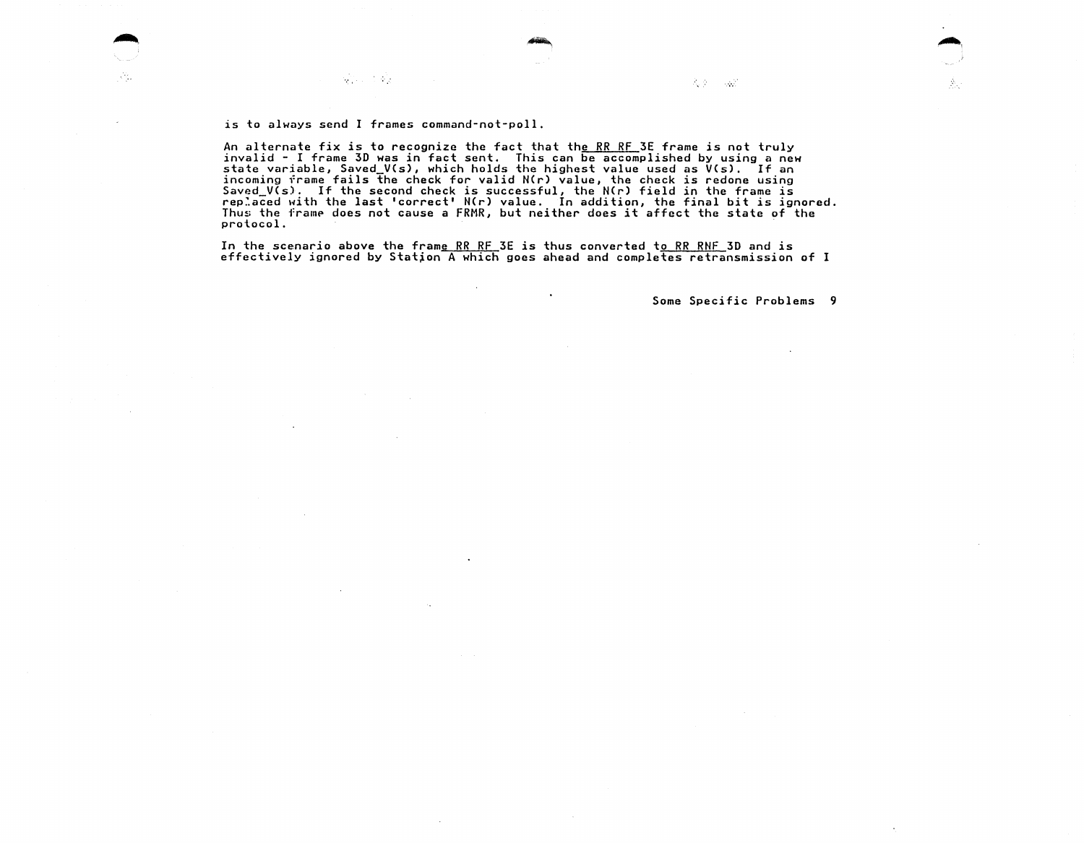is to always send I frames command-not-poll.

Кġ.

An alternate fix is to recognize the fact that the RR RF 3E frame is not truly invalid - I frame 3D was in fact sent. This can be accomplished by using a new<br>state variable, Saved\_V(s), which holds the highest value used as V(s). If an<br>incoming frame fails the check for valid N(r) value, the check is Saved\_V(s). If the second check is successful, the NCr) field in the frame is rep:aced with the last 'correct' N(r) value. In addition, the final bit is ignored. Thus the framp does not cause a FRMR, but neither does it affect the state of the protocol.

In the scenario above the frame RR RF 3E is thus converted to RR RNF 30 and is effectively ignored by Statjon A which goes ahead and completes retransmission of I

Some Specific Problems 9

Â.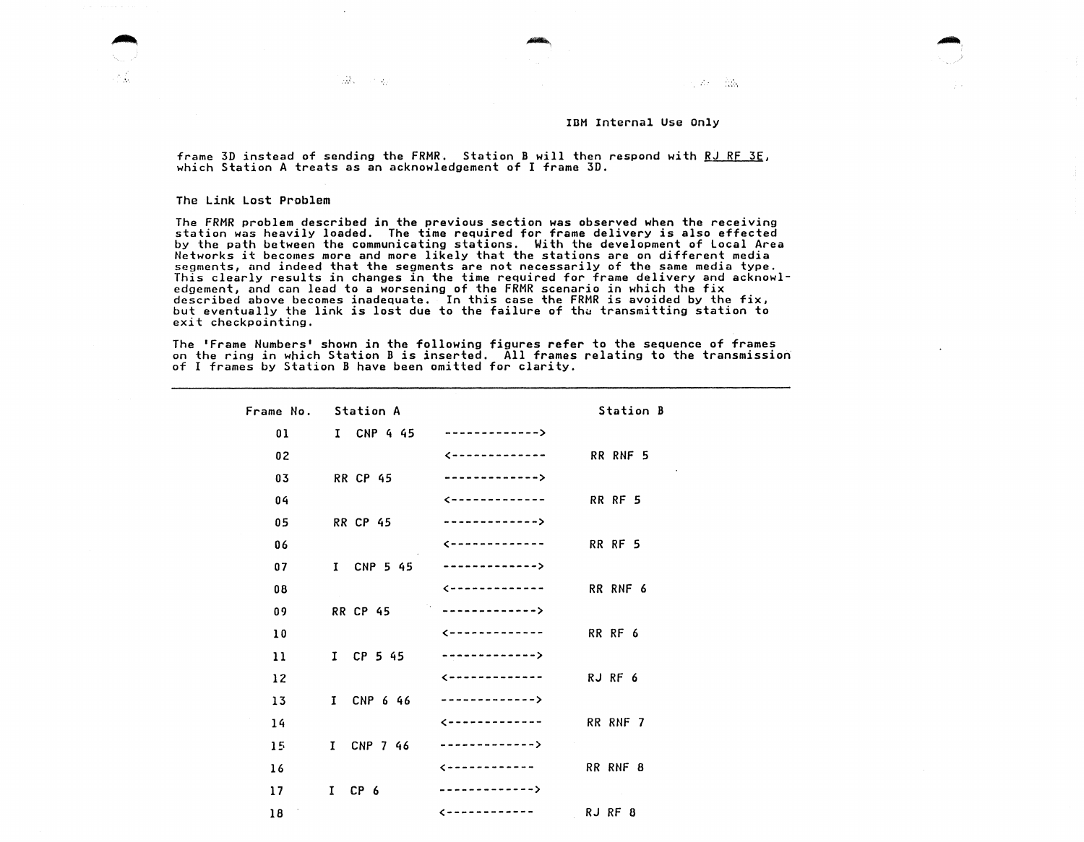$\sim 100$  mass  $^{-1}$ 

frame 3D instead of sending the FRMR. Station B will then respond with RJ RF 3E, which Station A treats as an acknowledgement of I frame 30.

The Link Lost Problem

 $\ddot{\phantom{a}}$ 

alah sebagai

.•.·

The FRMR problem described in the previous section was observed when the receiving station was heavily loaded. The time required for frame delivery is also effected by the path between the communicating stations. With the development of Local Area Networks it becomes more and more likely that the stations are on different media segments, and indeed that the segments are not necessarily of the same media type. This clearly results in changes in the time required for frame delivery and acknowledgement, and can lead to a worsening of the FRMR scenario in which the fix described above becomes inadequate. In this case the FRMR is avoided by the fix, but eventually the link is lost due to the failure of the transmitting station to exit checkpointing.

The 'Frame Numbers' shown in the following figures refer to the sequence of frames on the ring in which Station B is inserted. All frames relating to the transmission of I frames by Station B have been omitted for clarity.

|           | Frame No. Station A |                                                                 | Station B |
|-----------|---------------------|-----------------------------------------------------------------|-----------|
| 01        | I CNP 4 45          | ------------->                                                  |           |
| 02        |                     | $\epsilon$ -------------                                        | RR RNF 5  |
| 03        | <b>RR CP 45</b>     | ------------->                                                  |           |
| 04        |                     | $\leftarrow$ - - - - - - - - - - - - -                          | RR RF 5   |
| 05        | <b>RR CP 45</b>     | ------------->                                                  |           |
| 06        |                     | $\zeta$ = = = = = = = = = = = = =                               | RR RF 5   |
| 07        | I CNP 5 45          | ------------->                                                  |           |
| 08        |                     | $\epsilon$ -------------                                        | RR RNF 6  |
| 09        | <b>RR CP 45</b>     | $\mathcal{O}(n)$<br>$\ldots \ldots \ldots \ldots \ldots \ldots$ |           |
| 10        |                     | $\zeta$ - - - - - - - - - - - - -                               | RR RF 6   |
| 11        | $I$ CP 5 45         | ------------->                                                  |           |
| 12        |                     | $\leftarrow$ - - - - - - - - - - - -                            | RJ RF 6   |
| 13        | I CNP 6 46          | -------------->                                                 |           |
| 14        |                     | $\leftarrow$ - - - - - - - - - - - -                            | RR RNF 7  |
| 15        | I CNP 7 46          | ------------->                                                  |           |
| 16        |                     | $\epsilon$                                                      | RR RNF 8  |
| 17        | $I$ CP $6$          | ------------->                                                  |           |
| - 1<br>18 |                     | $\zeta$ - - - - - - - - - - - -                                 | RJ RF 8   |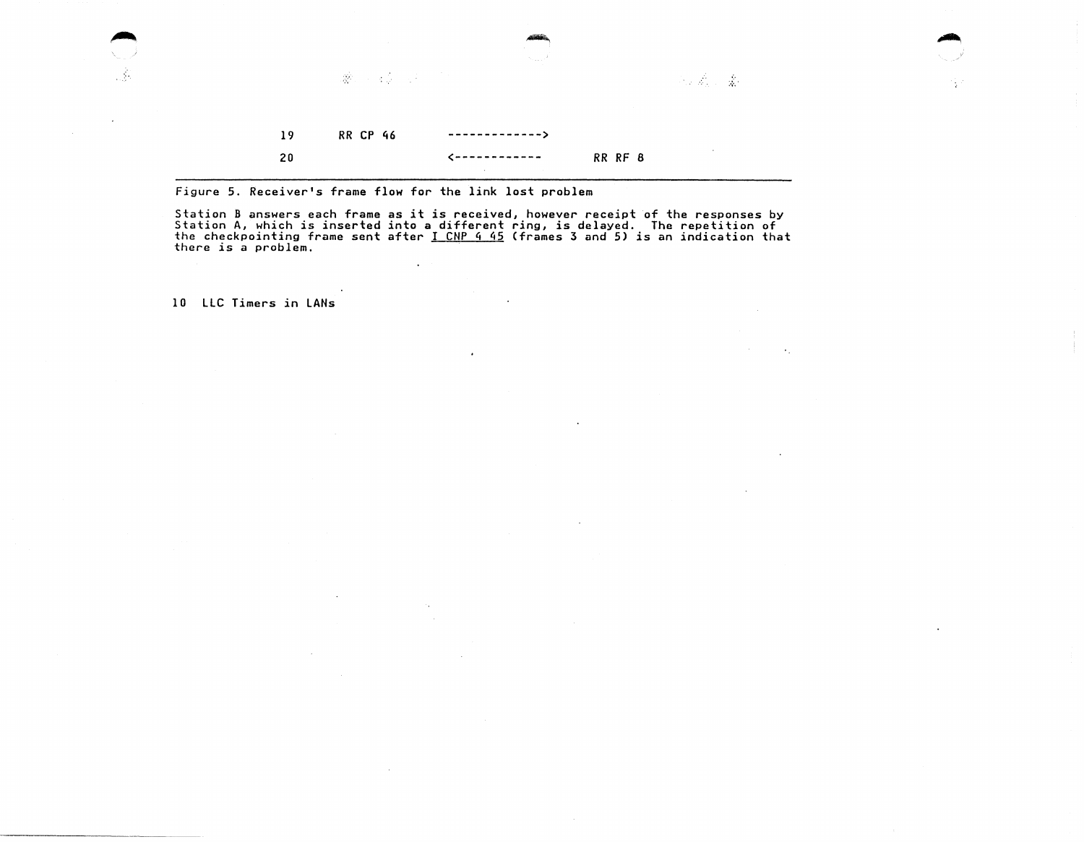

٠.

 $\sim$  .

figure 5. Receiver's frame flow for the link lost problem

 $\sim$ 

 $\sim$ 

.<br>Station B answers each frame as it is received, however receipt of the responses by<br>Station A, which is inserted into a different ring, is delayed. The repetition of the checkpointing frame sent after <u>I CNP 4 45</u> (frames 3 and 5) is an indication that there is a problem.

 $\bullet$ 

 $\mathcal{L}$ 

10 LLC Timers in LANs

 $\sim$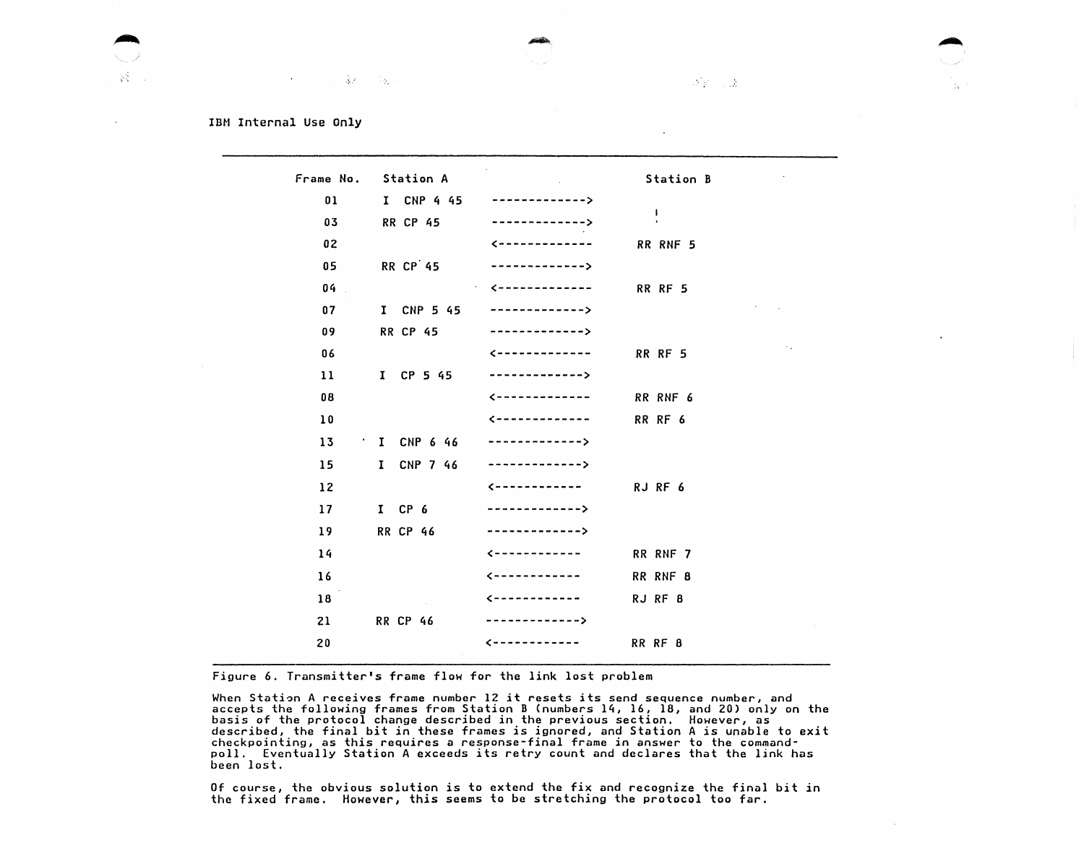$\mathcal{N}_{\mathcal{V}} = \mathcal{N}_{\mathcal{V}}$ 

# IBM Internal Use Only

|    | Frame No. Station A |                                   | Station B                         |
|----|---------------------|-----------------------------------|-----------------------------------|
| 01 | I CNP 4 45          | ------------->                    |                                   |
| 03 | <b>RR CP 45</b>     | ------------->                    | 1                                 |
| 02 |                     | $\epsilon$ -------------          | RR RNF 5                          |
| 05 | <b>RR CP 45</b>     | ------------->                    |                                   |
| 04 |                     | - <--------------                 | RR RF 5                           |
| 07 | I CNP 5 45          | ------------->                    |                                   |
| 09 | <b>RR CP 45</b>     | ------------->                    |                                   |
| 06 |                     | $\zeta$ ------------              | $\ddot{\phantom{a}}$ .<br>RR RF 5 |
| 11 | $I$ CP 5 45         | ------------->                    |                                   |
| 08 |                     | $\leftarrow$ -------------        | RR RNF 6                          |
| 10 |                     | $\zeta$ -------------             | RR RF 6                           |
| 13 | $\cdot$ I CNP 6 46  | $- - - - - - - - - - - -$         |                                   |
| 15 | I CNP 7 46          | ------------->                    |                                   |
| 12 |                     | $\zeta$ ------------              | RJ RF 6                           |
| 17 | $I$ CP $6$          | ------------->                    |                                   |
| 19 | <b>RR CP 46</b>     | ------------->                    |                                   |
| 14 |                     | $\left\{$ - - - - - - - - - - - - | RR RNF 7                          |
| 16 |                     | $\zeta$ ------------              | RR RNF 8                          |
| 18 |                     | $\zeta$ ------------              | RJ RF 8                           |
| 21 | <b>RR CP 46</b>     | ------------->                    |                                   |
| 20 |                     |                                   | RR RF 8                           |
|    |                     |                                   |                                   |

Figure 6. Transmitter's frame flow for the link lost problem

When Station A receives frame number 12 it resets its send sequence number, and accepts the following frames from Station B (numbers 14, 16, 18, and 20) only on the basis of the protocol change described in the previous section. However, as described, the final bit in these frames is ignored, and Station A is unable to exit checkpointing, as this requires a response-final frame in answer to the commandpoll. Eventually Station A exceeds its retry count and declares that the link has port.<br>been lost.

Of course, the obvious solution is to extend the fix and recognize the final bit in the fixed frame. However, this seems to be stretching the protocol too far.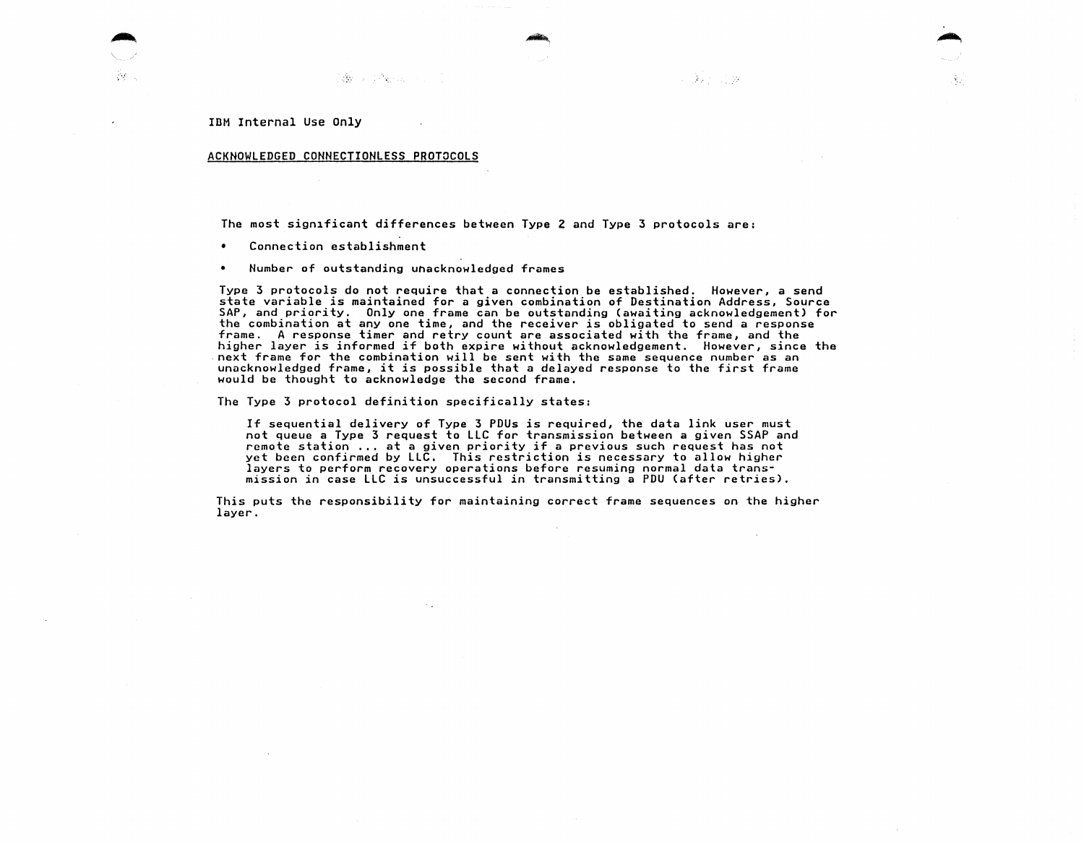39

## ACKNOWLEDGED CONNECTIONLESS PROTOCOLS

The most significant differences between Type 2 and Type 3 protocols are:

 $\bullet$ Connection establishment

• Number of outstanding unacknowledged frames

istoria de la construcción de la construcción de la construcción de la construcción de la construcción de la c<br>Construcción

Type 3 protocols do not require that a connection be established. However, a send state variable is maintained for a given combination of Destination Address, Source SAP, and priority. Only one frame can be outstanding (awaiting acknowledgement) for the combination at any one time, and the receiver is obligated to send a response frame. A response timer and retry count are associated with the frame, and the higher layer is informed if both expire without acknowledgement. However, since the next frame for the combination will be sent with the same sequence number as an unacknowledged frame, it is possible that a delayed response to the first frame would be thought to acknowledge the second frame.

 $\sim 100$  m  $^{-1}$  .  $100$ 

Ą.

The Type 3 protocol definition specifically states:

If sequential delivery of Type 3 PDUs is required, the data link user must not queue a Type 3 request to LLC for transmission between a given SSAP and remote station ... at a given priority if a previous such request has not yet been confirmed by LLC. This restriction is necessary to allow higher layers to perform recovery operations before resuming normal data transmission in case LLC is unsuccessful in transmitting a PDU (after retries),

This puts the responsibility for maintaining correct frame sequences on the higher layer.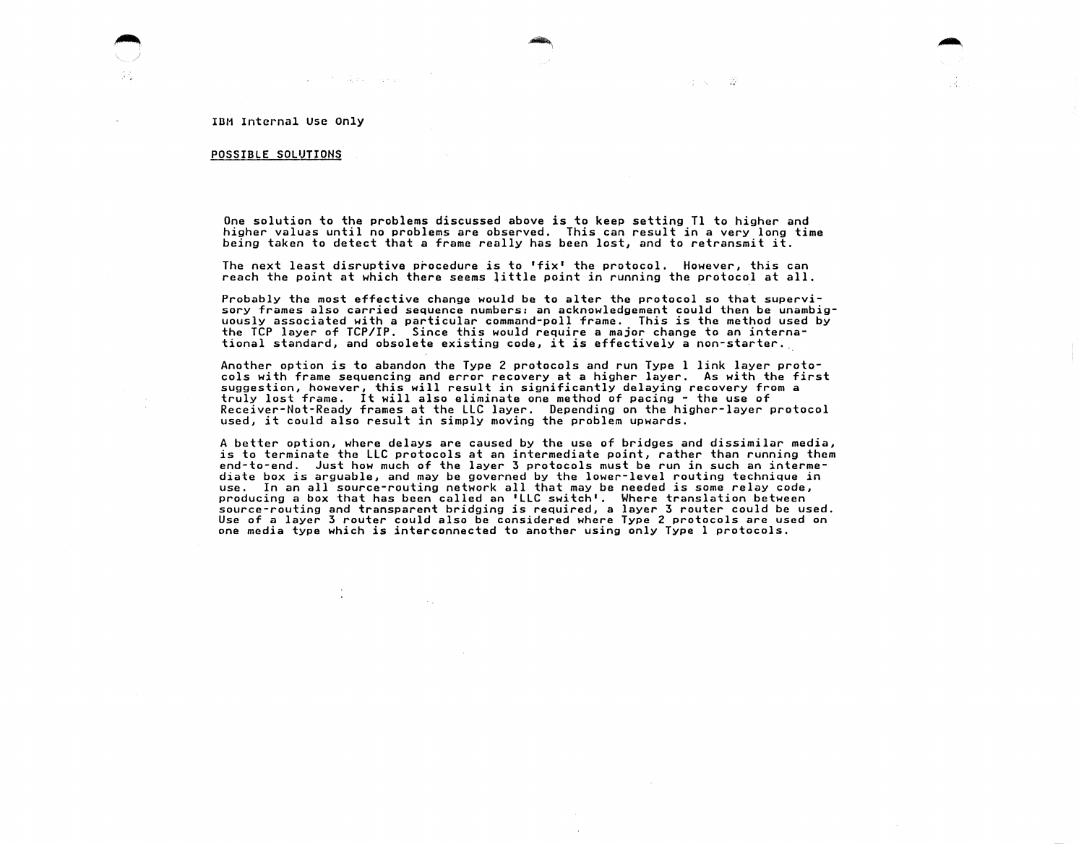and State Control

## POSSIBLE SOLUTIONS

One solution to the problems discussed above is to keep setting Tl to higher and higher valuas until no problems are observed. This can result in a very long time being taken to detect that a frame really has been lost, and to retransmit it.

...

けいない

The next least disruptive procedure is to 'fix' the protocol. However, this can reach the point at which there seems little point in running the protocol at all.

Probably the most effective change would be to alter the protocol so that supervisory frames also carried sequence numbers: an acknowledgement could then be unambiguously associated with a particular command-poll frame. This is the method used by the TCP layer of TCP/IP. Since this would require a major change to an international standard, and obsolete existing code, it is effectively a non-starter ..

Another option is to abandon the Type 2 protocols and run Type 1 link layer protocols with frame sequencing and error recovery at a higher layer. As with the first suggestion, however, this will result in significantly delaying recovery from a truly lost frame. It will also eliminate one method of pacing - the use of Receiver-Not-Ready frames at the LLC layer. Depending on the higher-layer protocol used, it could also result in simply moving the problem upwards.

A better option, where delays are caused by the use of bridges and dissimilar media, is to terminate the LLC protocols at an intermediate point, rather than running them end-to-end. Just how much of the layer 3 protocols must be run in such an intermediate box is arguable, and may be governed by the lower-level routing technique in use. In an all source-routing network all that may be needed is some relay code, producing a box that has been called an 'LLC switch'. Where translation between source-routing and transparent bridging is required, a layer 3 router could be used. Use of a layer 3 router could also be considered where Type 2 protocols are used on<br>one media type which is interconnected to another using only Type 1 protocols.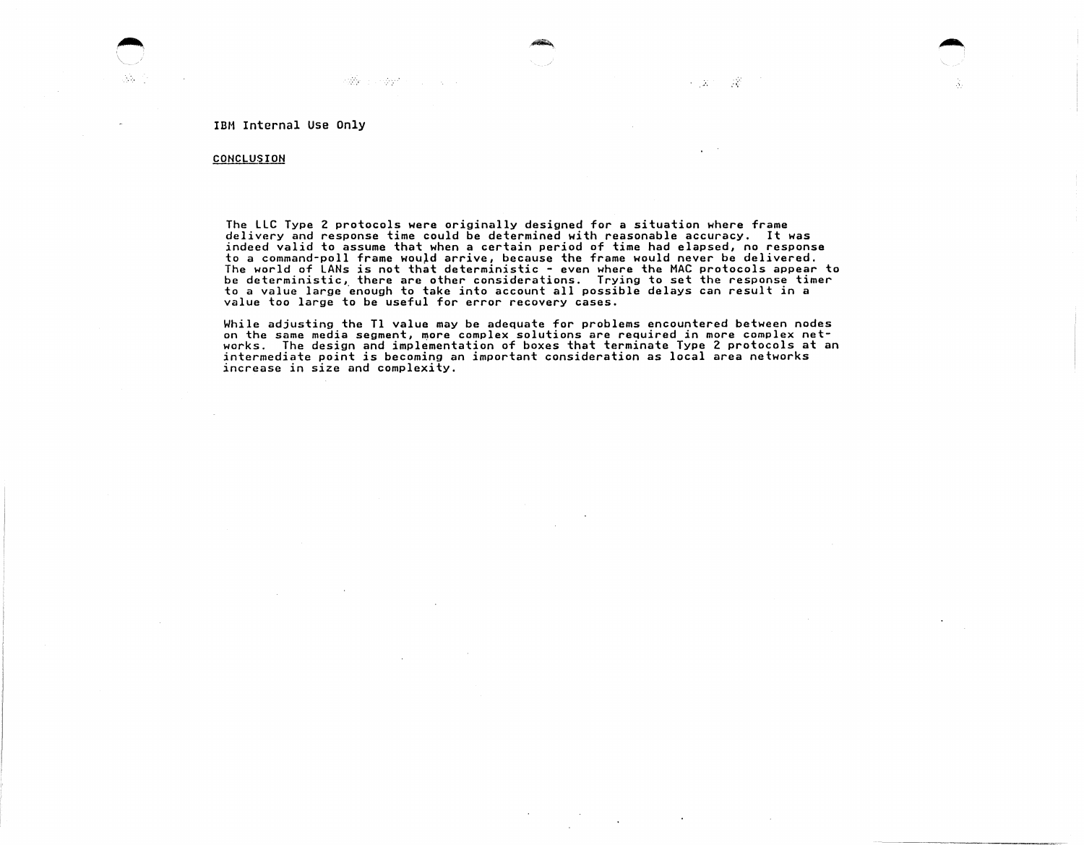**Reference of the** 

**Contract State** 

# **CONCLUSION**

 $\mathcal{N}_{\mathrm{eq}}$ 

The LLC Type 2 protocols were originally designed for a situation where frame delivery and response time could be determined with reasonable accuracy. It was indeed valid to assume that when a certain period of time had elapsed, no response to a command-poll frame would arrive, because the frame would never be delivered. The world of LANs is not that deterministic - even where the MAC protocols appear to be deterministic, there are other considerations. Trying to set the response timer to a value large enough to take into account all possible delays can result in a value too large to be useful for error recovery cases.

·~.

- 25

 $\mathcal{F} \subset \mathbb{R}^{n \times n}$ 

While adjusting the Tl value may be adequate for problems encountered between nodes on the same media segment, more complex solutions are required in more complex networks. The design and implementation of boxes that terminate Type 2 protocols at an<br>intermediate point is becoming an important consideration as local area networks increase in size and complexity.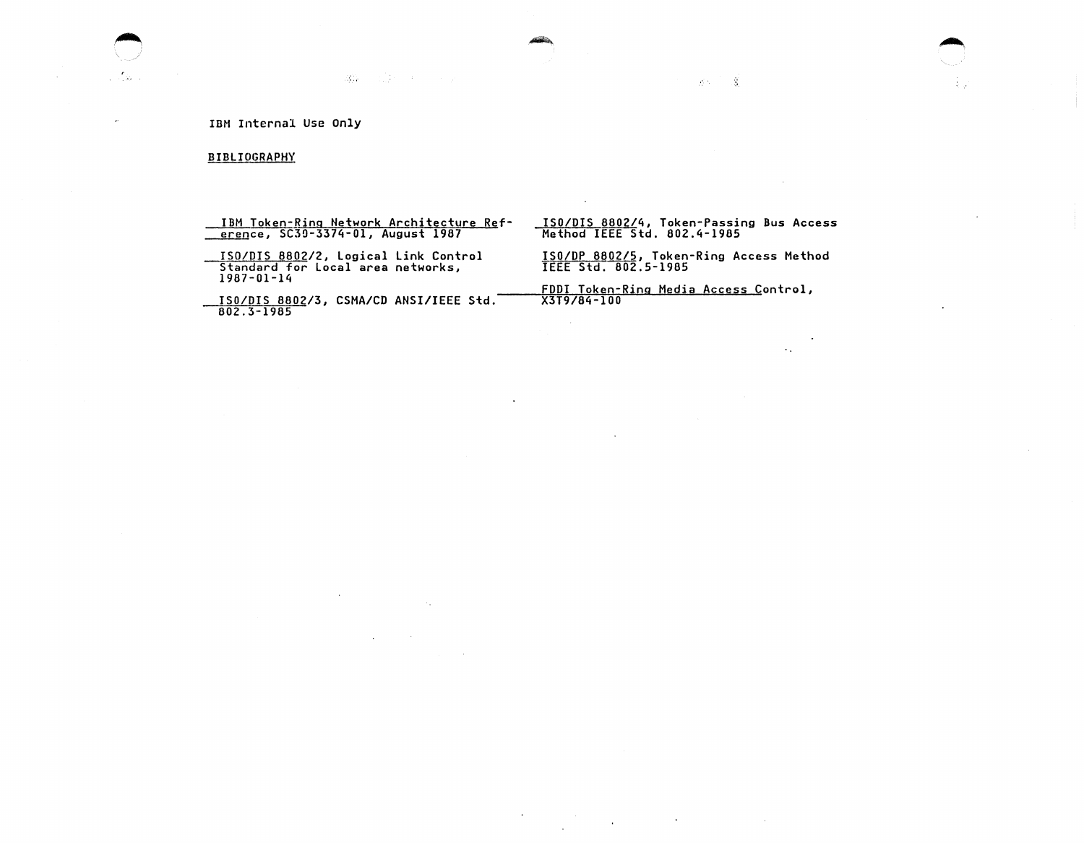# B IBLIOGRA PH'(

IBM Token-Fing Network Architecture Reference, SC3Q-3374-0l, August 1987

**第6** (1) 《法》 《大学》 《天文》

ISO/DIS 8802/2, logical link Control Standard for local area networks, 1987-01-14

ISO/DIS 8802/3, CSMA/CD ANSI/IEEE Std. 802.3-1985

 $\sim$   $\sim$ 

 $\sim 10$ 

 $\mathcal{L}^{\mathcal{L}}(\mathcal{L}^{\mathcal{L}}(\mathcal{L}^{\mathcal{L}}(\mathcal{L}^{\mathcal{L}}(\mathcal{L}^{\mathcal{L}}(\mathcal{L}^{\mathcal{L}}(\mathcal{L}^{\mathcal{L}}(\mathcal{L}^{\mathcal{L}})))$ 

ISO/DIS 8802/4, Token-Passing Bus Access Method IEEE Std. 802.4-1985

 $\sim$ 

 $\sim$ 

 $\sim$ 

送り 一度

.--...

ISO/DP 8802/5, Token-Ring Access Method IEEE Std. 802.5-1985

 $\sim$ 

FDDI Token-Ring Media Access Control, X3T9/84-100

 $\mathcal{L}(\mathcal{L}^{\mathcal{L}})$  and  $\mathcal{L}(\mathcal{L}^{\mathcal{L}})$  are the set of the set of the  $\mathcal{L}^{\mathcal{L}}$